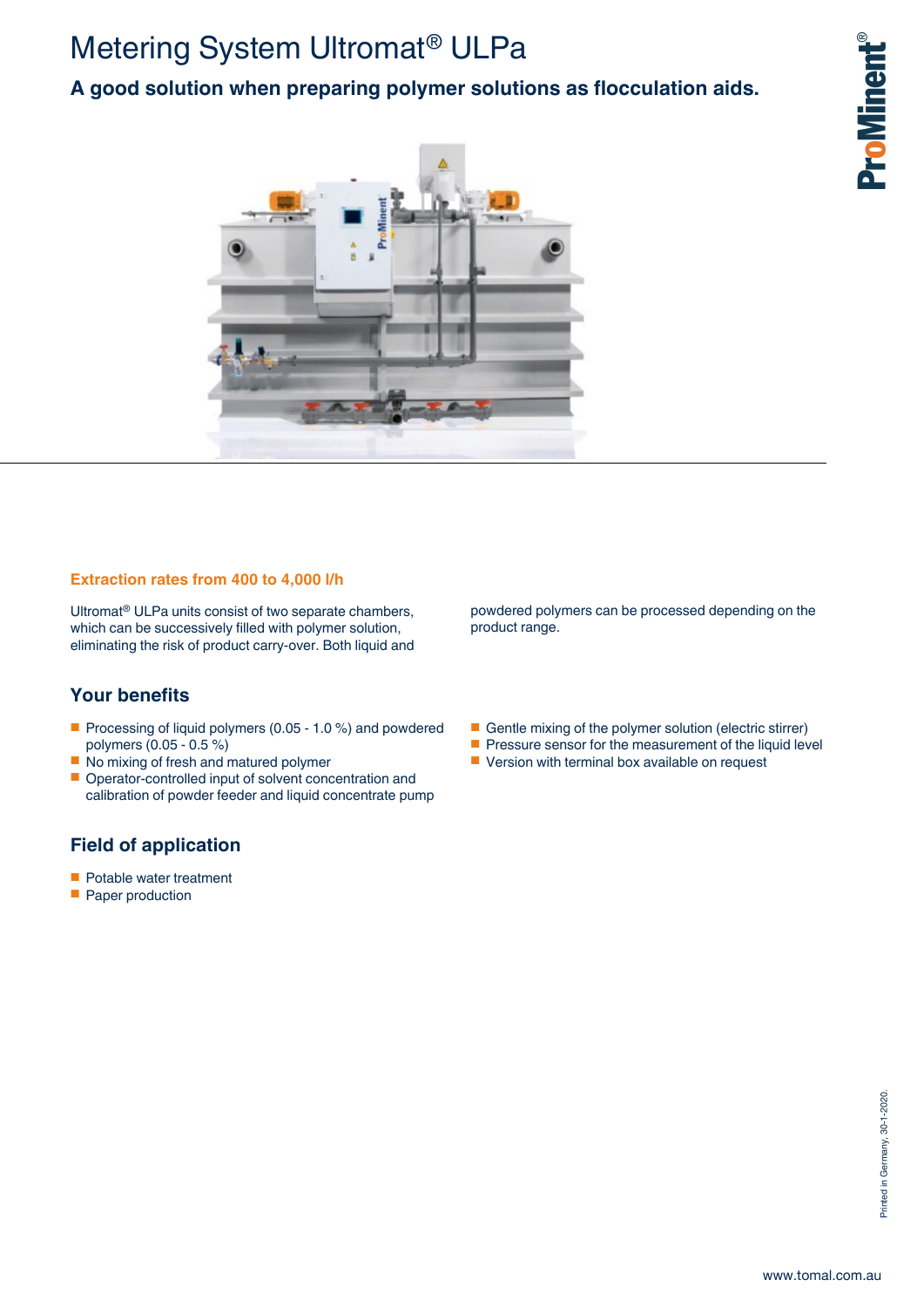# Metering System Ultromat® ULPa

## **A good solution when preparing polymer solutions as flocculation aids.**



### **Extraction rates from 400 to 4,000 l/h**

Ultromat® ULPa units consist of two separate chambers, which can be successively filled with polymer solution, eliminating the risk of product carry-over. Both liquid and

## **Your benefits**

- Processing of liquid polymers (0.05 1.0 %) and powdered polymers (0.05 - 0.5 %)
- No mixing of fresh and matured polymer
- Operator-controlled input of solvent concentration and calibration of powder feeder and liquid concentrate pump

## **Field of application**

- Potable water treatment
- Paper production

powdered polymers can be processed depending on the product range.

- Gentle mixing of the polymer solution (electric stirrer)
- Pressure sensor for the measurement of the liquid level
- Version with terminal box available on request